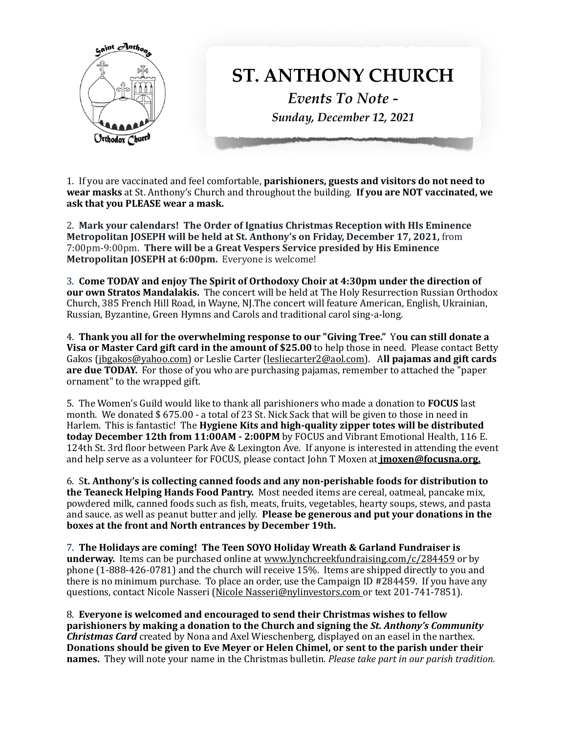

1. If you are vaccinated and feel comfortable, **parishioners, guests and visitors do not need to wear masks** at St. Anthony's Church and throughout the building. **If you are NOT vaccinated, we** ask that you PLEASE wear a mask.

2. Mark your calendars! The Order of Ignatius Christmas Reception with HIs Eminence **Metropolitan JOSEPH will be held at St. Anthony's on Friday, December 17, 2021, from** 7:00pm-9:00pm. There will be a Great Vespers Service presided by His Eminence **Metropolitan JOSEPH at 6:00pm.** Everyone is welcome!

3. Come TODAY and enjoy The Spirit of Orthodoxy Choir at 4:30pm under the direction of **our own Stratos Mandalakis.** The concert will be held at The Holy Resurrection Russian Orthodox Church, 385 French Hill Road, in Wayne, NJ. The concert will feature American, English, Ukrainian, Russian, Byzantine, Green Hymns and Carols and traditional carol sing-a-long.

4. Thank you all for the overwhelming response to our "Giving Tree." You can still donate a **Visa or Master Card gift card in the amount of \$25.00** to help those in need. Please contact Betty Gakos ([jbgakos@yahoo.com](mailto:jbgakos@yahoo.com)) or Leslie Carter ([lesliecarter2@aol.com\)](mailto:lesliecarter2@aol.com). All **pajamas and gift cards are due TODAY.** For those of you who are purchasing pajamas, remember to attached the "paper" ornament" to the wrapped gift.

5. The Women's Guild would like to thank all parishioners who made a donation to **FOCUS** last month. We donated  $$675.00 - a total of 23 St. Nick Sack that will be given to those in need in$ Harlem. This is fantastic! The **Hygiene Kits and high-quality zipper totes will be distributed today December 12th from 11:00AM - 2:00PM** by FOCUS and Vibrant Emotional Health, 116 E. 124th St. 3rd floor between Park Ave & Lexington Ave. If anyone is interested in attending the event and help serve as a volunteer for FOCUS, please contact John T Moxen at **jmoxen@focusna.org.** 

6. St. Anthony's is collecting canned foods and any non-perishable foods for distribution to **the Teaneck Helping Hands Food Pantry.** Most needed items are cereal, oatmeal, pancake mix, powdered milk, canned foods such as fish, meats, fruits, vegetables, hearty soups, stews, and pasta and sauce. as well as peanut butter and jelly. Please be generous and put your donations in the **boxes at the front and North entrances by December 19th.** 

7. The Holidays are coming! The Teen SOYO Holiday Wreath & Garland Fundraiser is **underway.** Items can be purchased online at www.lynchcreekfundraising.com/c/284459 or by phone (1-888-426-0781) and the church will receive 15%. Items are shipped directly to you and there is no minimum purchase. To place an order, use the Campaign ID  $\#284459$ . If you have any questions, contact Nicole Nasseri (Nicole Nasseri@nylinvestors.com or text 201-741-7851).

8. Everyone is welcomed and encouraged to send their Christmas wishes to fellow **parishioners** by making a donation to the Church and signing the *St. Anthony's Community* **Christmas Card** created by Nona and Axel Wieschenberg, displayed on an easel in the narthex. **Donations should be given to Eve Meyer or Helen Chimel, or sent to the parish under their names.** They will note your name in the Christmas bulletin. *Please take part in our parish tradition.*